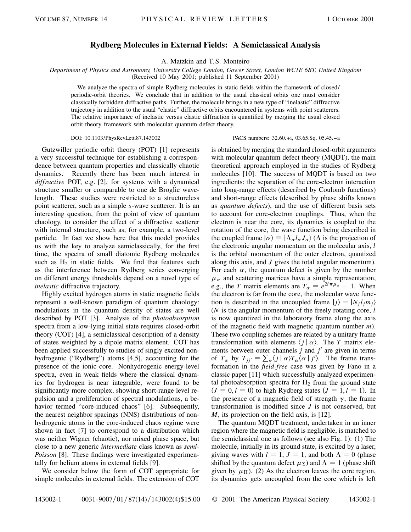## **Rydberg Molecules in External Fields: A Semiclassical Analysis**

A. Matzkin and T. S. Monteiro

*Department of Physics and Astronomy, University College London, Gower Street, London WC1E 6BT, United Kingdom* (Received 10 May 2001; published 11 September 2001)

We analyze the spectra of simple Rydberg molecules in static fields within the framework of closed/ periodic-orbit theories. We conclude that in addition to the usual classical orbits one must consider classically forbidden diffractive paths. Further, the molecule brings in a new type of "inelastic" diffractive trajectory in addition to the usual "elastic" diffractive orbits encountered in systems with point scatterers. The relative importance of inelastic versus elastic diffraction is quantified by merging the usual closed orbit theory framework with molecular quantum defect theory.

DOI: 10.1103/PhysRevLett.87.143002 PACS numbers: 32.60.+i, 03.65.Sq, 05.45.–a

Gutzwiller periodic orbit theory (POT) [1] represents a very successful technique for establishing a correspondence between quantum properties and classically chaotic dynamics. Recently there has been much interest in *diffractive* POT, e.g. [2], for systems with a dynamical structure smaller or comparable to one de Broglie wavelength. These studies were restricted to a structureless point scatterer, such as a simple *s*-wave scatterer. It is an interesting question, from the point of view of quantum chaology, to consider the effect of a diffractive scatterer with internal structure, such as, for example, a two-level particle. In fact we show here that this model provides us with the key to analyze semiclassically, for the first time, the spectra of small diatomic Rydberg molecules such as  $H_2$  in static fields. We find that features such as the interference between Rydberg series converging on different energy thresholds depend on a novel type of *inelastic* diffractive trajectory.

Highly excited hydrogen atoms in static magnetic fields represent a well-known paradigm of quantum chaology: modulations in the quantum density of states are well described by POT [3]. Analysis of the *photoabsorption* spectra from a low-lying initial state requires closed-orbit theory (COT) [4], a semiclassical description of a density of states weighted by a dipole matrix element. COT has been applied successfully to studies of singly excited nonhydrogenic ("Rydberg") atoms [4,5], accounting for the presence of the ionic core. Nonhydrogenic energy-level spectra, even in weak fields where the classical dynamics for hydrogen is near integrable, were found to be significantly more complex, showing short-range level repulsion and a proliferation of spectral modulations, a behavior termed "core-induced chaos" [6]. Subsequently, the nearest neighbor spacings (NNS) distributions of nonhydrogenic atoms in the core-induced chaos regime were shown in fact [7] to correspond to a distribution which was neither Wigner (chaotic), nor mixed phase space, but close to a new generic *intermediate* class known as *semi-Poisson* [8]. These findings were investigated experimentally for helium atoms in external fields [9].

We consider below the form of COT appropriate for simple molecules in external fields. The extension of COT is obtained by merging the standard closed-orbit arguments with molecular quantum defect theory (MODT), the main theoretical approach employed in the studies of Rydberg molecules [10]. The success of MQDT is based on two ingredients: the separation of the core-electron interaction into long-range effects (described by Coulomb functions) and short-range effects (described by phase shifts known as *quantum defects*), and the use of different basis sets to account for core-electron couplings. Thus, when the electron is near the core, its dynamics is coupled to the rotation of the core, the wave function being described in the coupled frame  $|\alpha\rangle = |\Lambda_{\alpha}l_{\alpha}J_{\alpha}\rangle$  ( $\Lambda$  is the projection of the electronic angular momentum on the molecular axis, *l* is the orbital momentum of the outer electron, quantized along this axis, and *J* gives the total angular momentum). For each  $\alpha$ , the quantum defect is given by the number  $\mu_{\alpha}$  and scattering matrices have a simple representation, e.g., the *T* matrix elements are  $T_{\alpha} = e^{2i\pi\mu_{\alpha}} - 1$ . When the electron is far from the core, the molecular wave function is described in the uncoupled frame  $|j\rangle = |N_j l_j m_j\rangle$ (*N* is the angular momentum of the freely rotating core, *l* is now quantized in the laboratory frame along the axis of the magnetic field with magnetic quantum number *m*). These two coupling schemes are related by a unitary frame transformation with elements  $\langle j | \alpha \rangle$ . The *T* matrix elements between outer channels *j* and *j'* are given in terms of  $T_{\alpha}$  by  $T_{jj'} = \sum_{\alpha} \langle j | \alpha \rangle T_{\alpha} \langle \alpha | j' \rangle$ . The frame transformation in the *field-free* case was given by Fano in a classic paper [11] which successfully analyzed experimental photoabsorption spectra for  $H_2$  from the ground state  $(J = 0, l = 0)$  to high Rydberg states  $(J = 1, l = 1)$ . In the presence of a magnetic field of strength  $\gamma$ , the frame transformation is modified since *J* is not conserved, but *M*, its projection on the field axis, is [12].

The quantum MQDT treatment, undertaken in an inner region where the magnetic field is negligible, is matched to the semiclassical one as follows (see also Fig. 1): (1) The molecule, initially in its ground state, is excited by a laser, giving waves with  $l = 1$ ,  $J = 1$ , and both  $\Lambda = 0$  (phase shifted by the quantum defect  $\mu_{\Sigma}$ ) and  $\Lambda = 1$  (phase shift given by  $\mu_{\Pi}$ ). (2) As the electron leaves the core region, its dynamics gets uncoupled from the core which is left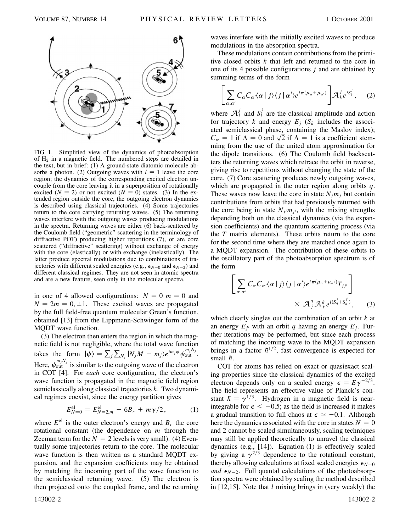

FIG. 1. Simplified view of the dynamics of photoabsorption of  $H_2$  in a magnetic field. The numbered steps are detailed in the text, but in brief: (1) A ground-state diatomic molecule absorbs a photon. (2) Outgoing waves with  $l = 1$  leave the core region; the dynamics of the corresponding excited electron uncouple from the core leaving it in a superposition of rotationally excited  $(N = 2)$  or not excited  $(N = 0)$  states. (3) In the extended region outside the core, the outgoing electron dynamics is described using classical trajectories. (4) Some trajectories return to the core carrying returning waves. (5) The returning waves interfere with the outgoing waves producing modulations in the spectra. Returning waves are either (6) back-scattered by the Coulomb field ("geometric" scattering in the terminology of diffractive POT) producing higher repetitions (7), or are core scattered ("diffractive" scattering) without exchange of energy with the core (elastically) or with exchange (inelastically). The latter produce spectral modulations due to combinations of trajectories with different scaled energies (e.g.,  $\epsilon_{N=0}$  and  $\epsilon_{N=2}$ ) and different classical regimes. They are not seen in atomic spectra and are a new feature, seen only in the molecular spectra.

in one of 4 allowed configurations:  $N = 0$   $m = 0$  and  $N = 2m = 0, \pm 1$ . These excited waves are propagated by the full field-free quantum molecular Green's function, obtained [13] from the Lippmann-Schwinger form of the MQDT wave function.

(3) The electron then enters the region in which the magnetic field is not negligible, where the total wave function takes the form  $|\psi\rangle = \sum_{j} \sum_{N_j} |N_j M - m_j\rangle e^{im_j \phi} \psi_{\text{out}}^{m_j N_j}$ . Here,  $\psi_{\text{out}}^{m_j N_j}$  is similar to the outgoing wave of the electron in COT [4]. For *each* core configuration, the electron's wave function is propagated in the magnetic field region semiclassically along classical trajectories *k*. Two dynamical regimes coexist, since the energy partition gives

$$
E_{N=0}^{\text{el}} = E_{N=2,m}^{\text{el}} + 6B_r + m\gamma/2, \qquad (1)
$$

where  $E^{\text{el}}$  is the outer electron's energy and  $B_r$  the core rotational constant (the dependence on *m* through the Zeeman term for the  $N = 2$  levels is very small). (4) Eventually some trajectories return to the core. The molecular wave function is then written as a standard MQDT expansion, and the expansion coefficients may be obtained by matching the incoming part of the wave function to the semiclassical returning wave. (5) The electron is then projected onto the coupled frame, and the returning

waves interfere with the initially excited waves to produce modulations in the absorption spectra.

These modulations contain contributions from the primitive closed orbits *k* that left and returned to the core in one of its 4 possible configurations *j* and are obtained by summing terms of the form

$$
\left[\sum_{\alpha,\alpha'} C_{\alpha} C_{\alpha'} \langle \alpha | j \rangle \langle j | \alpha' \rangle e^{i \pi (\mu_{\alpha} + \mu_{\alpha'})} \right] A_{k}^{j} e^{i S_{k}^{j}}, \quad (2)
$$

where  $A_k^j$  and  $S_k^j$  are the classical amplitude and action for trajectory *k* and energy  $E_i$  ( $S_k$  includes the associ-ated semiclassical phase, containing the Maslov index); ated semiclassical phase, containing the Maslov index);<br>  $C_{\alpha} = 1$  if  $\Lambda = 0$  and  $\sqrt{2}$  if  $\Lambda = 1$  is a coefficient stemming from the use of the united atom approximation for the dipole transitions. (6) The Coulomb field backscatters the returning waves which retrace the orbit in reverse, giving rise to repetitions without changing the state of the core. (7) Core scattering produces newly outgoing waves, which are propagated in the outer region along orbits *q*. These waves now leave the core in state  $N_i m_i$  but contain contributions from orbits that had previously returned with the core being in state  $N_{j}$ *m<sub>j</sub>*<sup> $\ell$ </sup>, with the mixing strengths depending both on the classical dynamics (via the expansion coefficients) and the quantum scattering process (via the *T* matrix elements). These orbits return to the core for the second time where they are matched once again to a MQDT expansion. The contribution of these orbits to the oscillatory part of the photoabsorption spectrum is of the form

$$
\left[\sum_{\alpha,\alpha'} C_{\alpha} C_{\alpha'} \langle \alpha | j \rangle \langle j | \alpha' \rangle e^{i \pi (\mu_{\alpha} + \mu_{\alpha'})} T_{jj'} \right] \times \mathcal{A}_{j}^{q} \mathcal{A}_{j'}^{k} e^{i(S_{q}^{j} + S_{k}^{j'})}, \qquad (3)
$$

which clearly singles out the combination of an orbit *k* at an energy  $E_{i}$ <sup>*i*</sup> with an orbit *q* having an energy  $E_i$ . Further iterations may be performed, but since each process of matching the incoming wave to the MQDT expansion brings in a factor  $\hbar^{1/2}$ , fast convergence is expected for small  $\hbar$ .

COT for atoms has relied on exact or quasiexact scaling properties since the classical dynamics of the excited electron depends only on a scaled energy  $\epsilon = E\gamma^{-2/3}$ . The field represents an effective value of Planck's constant  $\hbar = \gamma^{1/3}$ . Hydrogen in a magnetic field is nearintegrable for  $\epsilon<-0.5$ ; as the field is increased it makes a gradual transition to full chaos at  $\epsilon \approx -0.1$ . Although here the dynamics associated with the core in states  $N = 0$ and 2 cannot be scaled simultaneously, scaling techniques may still be applied theoretically to unravel the classical dynamics (e.g., [14]). Equation (1) is effectively scaled by giving a  $\gamma^{2/3}$  dependence to the rotational constant, thereby allowing calculations at fixed scaled energies  $\epsilon_{N=0}$ *and*  $\epsilon_{N=2}$ . Full quantal calculations of the photoabsorption spectra were obtained by scaling the method described in [12,15]. Note that *l* mixing brings in (very weakly) the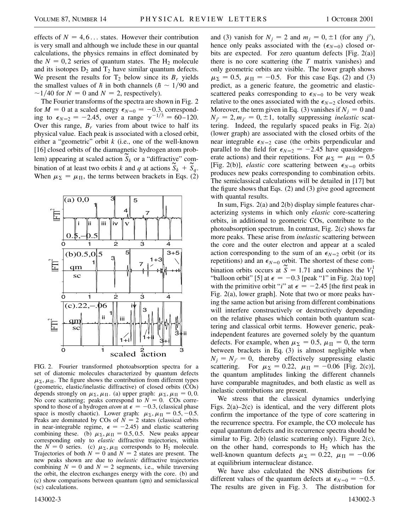effects of  $N = 4, 6...$  states. However their contribution is very small and although we include these in our quantal calculations, the physics remains in effect dominated by the  $N = 0, 2$  series of quantum states. The  $H_2$  molecule and its isotopes  $D_2$  and  $T_2$  have similar quantum defects. We present the results for  $T_2$  below since its  $B_r$  yields the smallest values of  $\hbar$  in both channels ( $\hbar \sim 1/90$  and  $\sim$ 1/40 for *N* = 0 and *N* = 2, respectively).

The Fourier transforms of the spectra are shown in Fig. 2 for  $M = 0$  at a scaled energy  $\epsilon_{N=0} = -0.3$ , corresponding to  $\epsilon_{N=2} = -2.45$ , over a range  $\gamma^{-1/3} = 60 - 120$ . Over this range,  $B_r$  varies from about twice to half its physical value. Each peak is associated with a closed orbit, either a "geometric" orbit *k* (i.e., one of the well-known [16] closed orbits of the diamagnetic hydrogen atom problem) appearing at scaled action  $S_k$  or a "diffractive" combination of at least two orbits *k* and *q* at actions  $\widetilde{S}_k + \widetilde{S}_q$ . When  $\mu_{\Sigma} = \mu_{\Pi}$ , the terms between brackets in Eqs. (2)



FIG. 2. Fourier transformed photoabsorption spectra for a set of diatomic molecules characterized by quantum defects  $\mu_{\Sigma}$ ,  $\mu_{\Pi}$ . The figure shows the contribution from different types (geometric, elastic/inelastic diffractive) of closed orbits (COs) depends strongly on  $\mu_{\Sigma}, \mu_{\Pi}$ . (a) upper graph:  $\mu_{\Sigma}, \mu_{\Pi} = 0, 0$ . No core scattering; peaks correspond to  $N = 0$ . COs correspond to those of a hydrogen *atom* at  $\epsilon = -0.3$ , (classical phase space is mostly chaotic). Lower graph:  $\mu_{\Sigma}, \mu_{\Pi} = 0.5, -0.5$ . Peaks are dominated by COs of  $\overline{N} = 2$  states (classical orbits in near-integrable regime,  $\epsilon = -2.45$ ) and elastic scattering combining these. (b)  $\mu_{\Sigma}, \mu_{\Pi} = 0.5, 0.5$ . New peaks appear corresponding only to *elastic* diffractive trajectories, within the  $N = 0$  series. (c)  $\mu_{\Sigma}, \mu_{\Pi}$  corresponds to H<sub>2</sub> molecule. Trajectories of both  $N = 0$  and  $N = 2$  states are present. The new peaks shown are due to *inelastic* diffractive trajectories combining  $N = 0$  and  $N = 2$  segments, i.e., while traversing the orbit, the electron exchanges energy with the core. (b) and (c) show comparisons between quantum (qm) and semiclassical (sc) calculations.

and (3) vanish for  $N_j = 2$  and  $m_j = 0, \pm 1$  (for any *j'*), hence only peaks associated with the  $(\epsilon_{N=0})$  closed orbits are expected. For zero quantum defects [Fig. 2(a)] there is no core scattering (the *T* matrix vanishes) and only geometric orbits are visible. The lower graph shows  $\mu_{\Sigma} = 0.5$ ,  $\mu_{\Pi} = -0.5$ . For this case Eqs. (2) and (3) predict, as a generic feature, the geometric and elasticscattered peaks corresponding to  $\epsilon_{N=0}$  to be very weak relative to the ones associated with the  $\epsilon_{N=2}$  closed orbits. Moreover, the term given in Eq. (3) vanishes if  $N_i = 0$  and  $N_{i'} = 2, m_{i'} = 0, \pm 1$ , totally suppressing *inelastic* scattering. Indeed, the regularly spaced peaks in Fig. 2(a) (lower graph) are associated with the closed orbits of the near integrable  $\epsilon_{N=2}$  case (the orbits perpendicular and parallel to the field for  $\epsilon_{N=2} = -2.45$  have quasidegenerate actions) and their repetitions. For  $\mu_{\Sigma} = \mu_{\Pi} = 0.5$ [Fig. 2(b)], *elastic* core scattering between  $\epsilon_{N=0}$  orbits produces new peaks corresponding to combination orbits. The semiclassical calculations will be detailed in [17] but the figure shows that Eqs. (2) and (3) give good agreement with quantal results.

In sum, Figs. 2(a) and 2(b) display simple features characterizing systems in which only *elastic* core-scattering orbits, in additional to geometric COs, contribute to the photoabsorption spectrum. In contrast, Fig. 2(c) shows far more peaks. These arise from *inelastic* scattering between the core and the outer electron and appear at a scaled action corresponding to the sum of an  $\epsilon_{N=2}$  orbit (or its repetitions) and an  $\epsilon_{N=0}$  orbit. The shortest of these combination orbits occurs at  $\widetilde{S} = 1.71$  and combines the  $V_1^1$ "balloon orbit" [5] at  $\epsilon = -0.3$  [peak "1" in Fig. 2(a) top] with the primitive orbit "*i*" at  $\epsilon = -2.45$  [the first peak in Fig. 2(a), lower graph]. Note that two or more peaks having the same action but arising from different combinations will interfere constructively or destructively depending on the relative phases which contain both quantum scattering and classical orbit terms. However generic, peakindependent features are governed solely by the quantum defects. For example, when  $\mu_{\Sigma} = 0.5$ ,  $\mu_{\Pi} = 0$ , the term between brackets in Eq. (3) is almost negligible when  $N_i = N_{i'} = 0$ , thereby effectively suppressing elastic scattering. For  $\mu_{\Sigma} = 0.22$ ,  $\mu_{\Pi} = -0.06$  [Fig. 2(c)], the quantum amplitudes linking the different channels have comparable magnitudes, and both elastic as well as inelastic contributions are present.

We stress that the classical dynamics underlying Figs.  $2(a) - 2(c)$  is identical, and the very different plots confirm the importance of the type of core scattering in the recurrence spectra. For example, the CO molecule has equal quantum defects and its recurrence spectra should be similar to Fig. 2(b) (elastic scattering only). Figure 2(c), on the other hand, corresponds to  $H_2$  which has the well-known quantum defects  $\mu_{\Sigma} = 0.22$ ,  $\mu_{\Pi} = -0.06$ at equilibrium internuclear distance.

We have also calculated the NNS distributions for different values of the quantum defects at  $\epsilon_{N=0} = -0.5$ . The results are given in Fig. 3. The distribution for